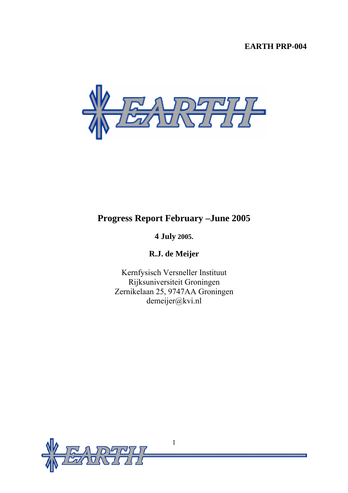# **EARTH PRP-004**



# **Progress Report February –June 2005**

# **4 July 2005.**

**R.J. de Meijer** 

Kernfysisch Versneller Instituut Rijksuniversiteit Groningen Zernikelaan 25, 9747AA Groningen demeijer@kvi.nl

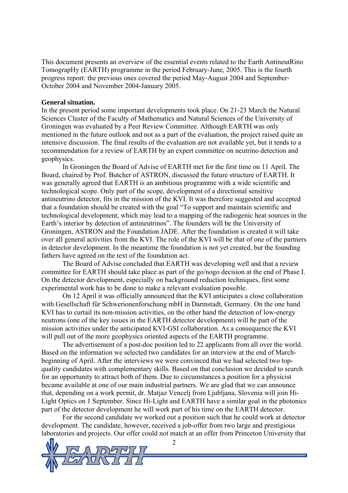This document presents an overview of the essential events related to the Earth AntineutRino TomograpHy (EARTH) programme in the period February-June, 2005. This is the fourth progress report: the previous ones covered the period May-August 2004 and September-October 2004 and November 2004-January 2005.

#### **General situation.**

In the present period some important developments took place. On 21-23 March the Natural Sciences Cluster of the Faculty of Mathematics and Natural Sciences of the University of Groningen was evaluated by a Peer Review Committee. Although EARTH was only mentioned in the future outlook and not as a part of the evaluation, the project raised quite an intensive discussion. The final results of the evaluation are not available yet, but it tends to a recommendation for a review of EARTH by an expert committee on neutrino detection and geophysics.

In Groningen the Board of Advise of EARTH met for the first time on 11 April. The Board, chaired by Prof. Butcher of ASTRON, discussed the future structure of EARTH. It was generally agreed that EARTH is an ambitious programme with a wide scientific and technological scope. Only part of the scope, development of a directional sensitive antineutrino detector, fits in the mission of the KVI. It was therefore suggested and accepted that a foundation should be created with the goal "To support and maintain scientific and technological development, which may lead to a mapping of the radiogenic heat sources in the Earth's interior by detection of antineutrinos". The founders will be the University of Groningen, ASTRON and the Foundation JADE. After the foundation is created it will take over all general activities from the KVI. The role of the KVI will be that of one of the partners in detector development. In the meantime the foundation is not yet created, but the founding fathers have agreed on the text of the foundation act.

The Board of Advise concluded that EARTH was developing well and that a review committee for EARTH should take place as part of the go/nogo decision at the end of Phase I. On the detector development, especially on background reduction techniques, first some experimental work has to be done to make a relevant evaluation possible.

On 12 April it was officially announced that the KVI anticipates a close collaboration with Gesellschaft für Schwerionenforschung mbH in Darmstadt, Germany. On the one hand KVI has to curtail its non-mission activities, on the other hand the detection of low-energy neutrons (one of the key issues in the EARTH detector development) will be part of the mission activities under the anticipated KVI-GSI collaboration. As a consequence the KVI will pull out of the more geophysics oriented aspects of the EARTH programme.

The advertisement of a post-doc position led to 22 applicants from all over the world. Based on the information we selected two candidates for an interview at the end of Marchbeginning of April. After the interviews we were convinced that we had selected two topquality candidates with complementary skills. Based on that conclusion we decided to search for an opportunity to attract both of them. Due to circumstances a position for a physicist became available at one of our main industrial partners. We are glad that we can announce that, depending on a work permit, dr. Matjaz Vencelj from Ljubljana, Slovenia will join Hi-Light Optics on 1 September. Since Hi-Light and EARTH have a similar goal in the photonics part of the detector development he will work part of his time on the EARTH detector.

For the second candidate we worked out a position such that he could work at detector development. The candidate, however, received a job-offer from two large and prestigious laboratories and projects. Our offer could not match at an offer from Princeton University that



 $\mathfrak{D}$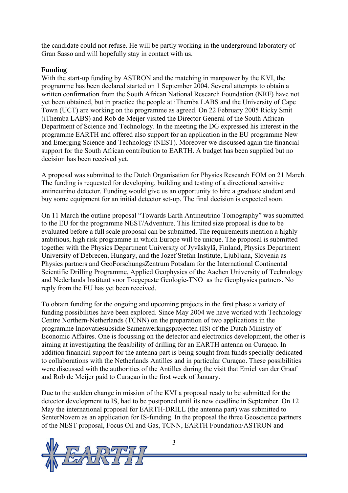the candidate could not refuse. He will be partly working in the underground laboratory of Gran Sasso and will hopefully stay in contact with us.

### **Funding**

With the start-up funding by ASTRON and the matching in manpower by the KVI, the programme has been declared started on 1 September 2004. Several attempts to obtain a written confirmation from the South African National Research Foundation (NRF) have not yet been obtained, but in practice the people at iThemba LABS and the University of Cape Town (UCT) are working on the programme as agreed. On 22 February 2005 Ricky Smit (iThemba LABS) and Rob de Meijer visited the Director General of the South African Department of Science and Technology. In the meeting the DG expressed his interest in the programme EARTH and offered also support for an application in the EU programme New and Emerging Science and Technology (NEST). Moreover we discussed again the financial support for the South African contribution to EARTH. A budget has been supplied but no decision has been received yet.

A proposal was submitted to the Dutch Organisation for Physics Research FOM on 21 March. The funding is requested for developing, building and testing of a directional sensitive antineutrino detector. Funding would give us an opportunity to hire a graduate student and buy some equipment for an initial detector set-up. The final decision is expected soon.

On 11 March the outline proposal "Towards Earth Antineutrino Tomography" was submitted to the EU for the programme NEST/Adventure. This limited size proposal is due to be evaluated before a full scale proposal can be submitted. The requirements mention a highly ambitious, high risk programme in which Europe will be unique. The proposal is submitted together with the Physics Department University of Jyväskylä, Finland, Physics Department University of Debrecen, Hungary, and the Jozef Stefan Institute, Ljubljana, Slovenia as Physics partners and GeoForschungsZentrum Potsdam for the International Continental Scientific Drilling Programme, Applied Geophysics of the Aachen University of Technology and Nederlands Instituut voor Toegepaste Geologie-TNO as the Geophysics partners. No reply from the EU has yet been received.

To obtain funding for the ongoing and upcoming projects in the first phase a variety of funding possibilities have been explored. Since May 2004 we have worked with Technology Centre Northern-Netherlands (TCNN) on the preparation of two applications in the programme Innovatiesubsidie Samenwerkingsprojecten (IS) of the Dutch Ministry of Economic Affaires. One is focussing on the detector and electronics development, the other is aiming at investigating the feasibility of drilling for an EARTH antenna on Curaçao. In addition financial support for the antenna part is being sought from funds specially dedicated to collaborations with the Netherlands Antilles and in particular Curaçao. These possibilities were discussed with the authorities of the Antilles during the visit that Emiel van der Graaf and Rob de Meijer paid to Curaçao in the first week of January.

Due to the sudden change in mission of the KVI a proposal ready to be submitted for the detector development to IS, had to be postponed until its new deadline in September. On 12 May the international proposal for EARTH-DRILL (the antenna part) was submitted to SenterNovem as an application for IS-funding. In the proposal the three Geoscience partners of the NEST proposal, Focus Oil and Gas, TCNN, EARTH Foundation/ASTRON and

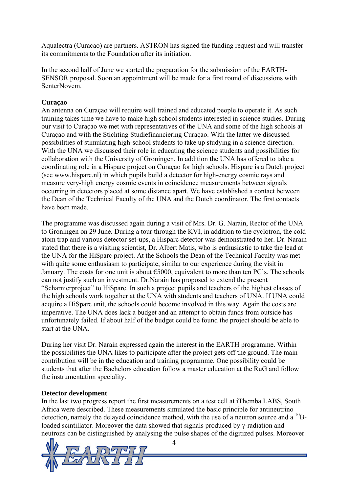Aqualectra (Curacao) are partners. ASTRON has signed the funding request and will transfer its commitments to the Foundation after its initiation.

In the second half of June we started the preparation for the submission of the EARTH-SENSOR proposal. Soon an appointment will be made for a first round of discussions with SenterNovem.

# **Curaçao**

An antenna on Curaçao will require well trained and educated people to operate it. As such training takes time we have to make high school students interested in science studies. During our visit to Curaçao we met with representatives of the UNA and some of the high schools at Curaçao and with the Stichting Studiefinanciering Curaçao. With the latter we discussed possibilities of stimulating high-school students to take up studying in a science direction. With the UNA we discussed their role in educating the science students and possibilities for collaboration with the University of Groningen. In addition the UNA has offered to take a coordinating role in a Hisparc project on Curaçao for high schools. Hisparc is a Dutch project (see www.hisparc.nl) in which pupils build a detector for high-energy cosmic rays and measure very-high energy cosmic events in coincidence measurements between signals occurring in detectors placed at some distance apart. We have established a contact between the Dean of the Technical Faculty of the UNA and the Dutch coordinator. The first contacts have been made.

The programme was discussed again during a visit of Mrs. Dr. G. Narain, Rector of the UNA to Groningen on 29 June. During a tour through the KVI, in addition to the cyclotron, the cold atom trap and various detector set-ups, a Hisparc detector was demonstrated to her. Dr. Narain stated that there is a visiting scientist, Dr. Albert Matis, who is enthusiastic to take the lead at the UNA for the HiSparc project. At the Schools the Dean of the Technical Faculty was met with quite some enthusiasm to participate, similar to our experience during the visit in January. The costs for one unit is about  $\epsilon$ 5000, equivalent to more than ten PC's. The schools can not justify such an investment. Dr.Narain has proposed to extend the present "Scharnierproject" to HiSparc. In such a project pupils and teachers of the highest classes of the high schools work together at the UNA with students and teachers of UNA. If UNA could acquire a HiSparc unit, the schools could become involved in this way. Again the costs are imperative. The UNA does lack a budget and an attempt to obtain funds from outside has unfortunately failed. If about half of the budget could be found the project should be able to start at the UNA.

During her visit Dr. Narain expressed again the interest in the EARTH programme. Within the possibilities the UNA likes to participate after the project gets off the ground. The main contribution will be in the education and training programme. One possibility could be students that after the Bachelors education follow a master education at the RuG and follow the instrumentation speciality.

#### **Detector development**

In the last two progress report the first measurements on a test cell at iThemba LABS, South Africa were described. These measurements simulated the basic principle for antineutrino detection, namely the delayed coincidence method, with the use of a neutron source and a  $^{10}$ Bloaded scintillator. Moreover the data showed that signals produced by γ-radiation and neutrons can be distinguished by analysing the pulse shapes of the digitized pulses. Moreover

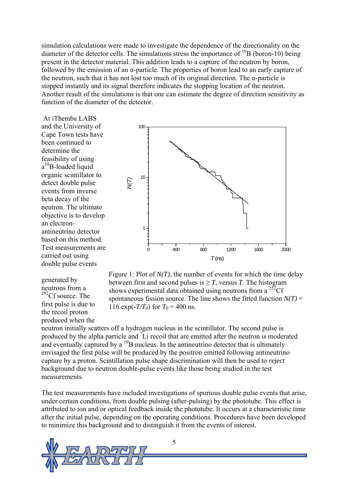simulation calculations were made to investigate the dependence of the directionality on the diameter of the detector cells. The simulations stress the importance of  $^{10}B$  (boron-10) being present in the detector material. This addition leads to a capture of the neutron by boron, followed by the emission of an  $\alpha$ -particle. The properties of boron lead to an early capture of the neutron, such that it has not lost too much of its original direction. The α-particle is stopped instantly and its signal therefore indicates the stopping location of the neutron. Another result of the simulations is that one can estimate the degree of direction sensitivity as function of the diameter of the detector.

 At iThemba LABS and the University of Cape Town tests have been continued to determine the feasibility of using a<sup>10</sup>B-loaded liquid organic scintillator to detect double pulse events from inverse beta decay of the neutron. The ultimate objective is to develop an electronantineutrino detector based on this method. Test measurements are carried out using double pulse events

generated by neutrons from a  $252$ Cf source. The first pulse is due to the recoil proton produced when the





neutron initially scatters off a hydrogen nucleus in the scintillator. The second pulse is produced by the alpha particle and  ${}^{7}$ Li recoil that are emitted after the neutron is moderated and eventually captured by a  $^{10}B$  nucleus. In the antineutrino detector that is ultimately envisaged the first pulse will be produced by the positron emitted following antineutrino capture by a proton. Scintillation pulse shape discrimination will then be used to *reject* background due to neutron double-pulse events like those being studied in the test measurements.

The test measurements have included investigations of spurious double pulse events that arise, under certain conditions, from double pulsing (after-pulsing) by the phototube. This effect is attributed to ion and/or optical feedback inside the phototube. It occurs at a characteristic time after the initial pulse, depending on the operating conditions. Procedures have been developed to minimize this background and to distinguish it from the events of interest.

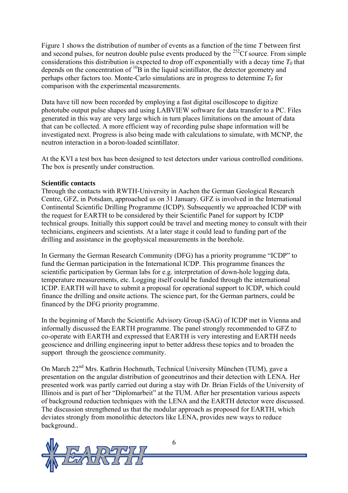Figure 1 shows the distribution of number of events as a function of the time *T* between first and second pulses, for neutron double pulse events produced by the  $^{252}$ Cf source. From simple considerations this distribution is expected to drop off exponentially with a decay time  $T_0$  that depends on the concentration of <sup>10</sup>B in the liquid scintillator, the detector geometry and perhaps other factors too. Monte-Carlo simulations are in progress to determine  $T_0$  for comparison with the experimental measurements.

Data have till now been recorded by employing a fast digital oscilloscope to digitize phototube output pulse shapes and using LABVIEW software for data transfer to a PC. Files generated in this way are very large which in turn places limitations on the amount of data that can be collected. A more efficient way of recording pulse shape information will be investigated next. Progress is also being made with calculations to simulate, with MCNP, the neutron interaction in a boron-loaded scintillator.

At the KVI a test box has been designed to test detectors under various controlled conditions. The box is presently under construction.

#### **Scientific contacts**

Through the contacts with RWTH-University in Aachen the German Geological Research Centre, GFZ, in Potsdam, approached us on 31 January. GFZ is involved in the International Continental Scientific Drilling Programme (ICDP). Subsequently we approached ICDP with the request for EARTH to be considered by their Scientific Panel for support by ICDP technical groups. Initially this support could be travel and meeting money to consult with their technicians, engineers and scientists. At a later stage it could lead to funding part of the drilling and assistance in the geophysical measurements in the borehole.

In Germany the German Research Community (DFG) has a priority programme "ICDP" to fund the German participation in the International ICDP. This programme finances the scientific participation by German labs for e.g. interpretation of down-hole logging data, temperature measurements, etc. Logging itself could be funded through the international ICDP. EARTH will have to submit a proposal for operational support to ICDP, which could finance the drilling and onsite actions. The science part, for the German partners, could be financed by the DFG priority programme.

In the beginning of March the Scientific Advisory Group (SAG) of ICDP met in Vienna and informally discussed the EARTH programme. The panel strongly recommended to GFZ to co-operate with EARTH and expressed that EARTH is very interesting and EARTH needs geoscience and drilling engineering input to better address these topics and to broaden the support through the geoscience community.

On March 22<sup>nd</sup> Mrs. Kathrin Hochmuth, Technical University München (TUM), gave a presentation on the angular distribution of geoneutrinos and their detection with LENA. Her presented work was partly carried out during a stay with Dr. Brian Fields of the University of Illinois and is part of her "Diplomarbeit" at the TUM. After her presentation various aspects of background reduction techniques with the LENA and the EARTH detector were discussed. The discussion strengthened us that the modular approach as proposed for EARTH, which deviates strongly from monolithic detectors like LENA, provides new ways to reduce background..



6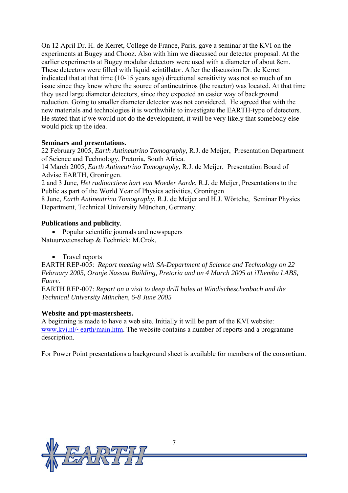On 12 April Dr. H. de Kerret, College de France, Paris, gave a seminar at the KVI on the experiments at Bugey and Chooz. Also with him we discussed our detector proposal. At the earlier experiments at Bugey modular detectors were used with a diameter of about 8cm. These detectors were filled with liquid scintillator. After the discussion Dr. de Kerret indicated that at that time (10-15 years ago) directional sensitivity was not so much of an issue since they knew where the source of antineutrinos (the reactor) was located. At that time they used large diameter detectors, since they expected an easier way of background reduction. Going to smaller diameter detector was not considered. He agreed that with the new materials and technologies it is worthwhile to investigate the EARTH-type of detectors. He stated that if we would not do the development, it will be very likely that somebody else would pick up the idea.

# **Seminars and presentations.**

22 February 2005, *Earth Antineutrino Tomography*, R.J. de Meijer, Presentation Department of Science and Technology, Pretoria, South Africa.

14 March 2005, *Earth Antineutrino Tomography*, R.J. de Meijer, Presentation Board of Advise EARTH, Groningen.

2 and 3 June, *Het radioactieve hart van Moeder Aarde*, R.J. de Meijer, Presentations to the Public as part of the World Year of Physics activities, Groningen

8 June, *Earth Antineutrino Tomography*, R.J. de Meijer and H.J. Wörtche, Seminar Physics Department, Technical University München, Germany.

### **Publications and publicity***.*

- Popular scientific journals and newspapers Natuurwetenschap & Techniek: M.Crok,
	- Travel reports

EARTH REP-005: *Report meeting with SA-Department of Science and Technology on 22 February 2005, Oranje Nassau Building, Pretoria and on 4 March 2005 at iThemba LABS, Faure.* 

EARTH REP-007: *Report on a visit to deep drill holes at Windischeschenbach and the Technical University München, 6-8 June 2005* 

# **Website and ppt-mastersheets.**

A beginning is made to have a web site. Initially it will be part of the KVI website: [www.kvi.nl/~earth/main.htm](http://www.kvi.nl/~earth/main.htm). The website contains a number of reports and a programme description.

For Power Point presentations a background sheet is available for members of the consortium.